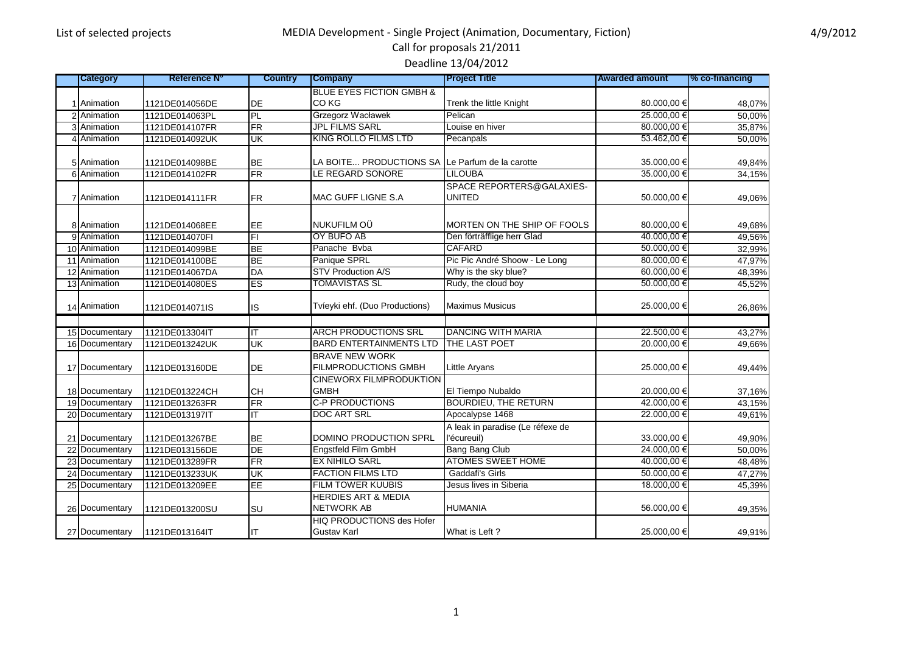# Call for proposals 21/2011

Deadline 13/04/2012

| Category                         | <b>Reference N°</b>              | <b>Country</b>           | <b>Company</b>                                         | <b>Project Title</b>                            | <b>Awarded amount</b>     | % co-tinancing   |
|----------------------------------|----------------------------------|--------------------------|--------------------------------------------------------|-------------------------------------------------|---------------------------|------------------|
|                                  |                                  |                          | <b>BLUE EYES FICTION GMBH &amp;</b>                    |                                                 |                           |                  |
| 1 Animation                      | 1121DE014056DE                   | DE                       | CO <sub>KG</sub>                                       | Trenk the little Knight                         | 80.000,00 €               | 48,07%           |
| 2 Animation                      | 1121DE014063PL                   | PL                       | Grzegorz Wacławek                                      | Pelican                                         | 25.000.00€                | 50,00%           |
| 3 Animation                      | 1121DE014107FR                   | $\overline{\mathsf{FR}}$ | <b>JPL FILMS SARL</b>                                  | Louise en hiver                                 | 80.000,00€                | 35,87%           |
| 4 Animation                      | 1121DE014092UK                   | UK                       | <b>KING ROLLO FILMS LTD</b>                            | Pecanpals                                       | 53.462,00 €               | 50,00%           |
|                                  |                                  |                          |                                                        |                                                 |                           |                  |
| 5 Animation                      | 1121DE014098BE                   | <b>BE</b>                | LA BOITE PRODUCTIONS SA Le Parfum de la carotte        |                                                 | 35.000,00 €               | 49,84%           |
| 6 Animation                      | 1121DE014102FR                   | $\overline{\text{FR}}$   | LE REGARD SONORE                                       | <b>LILOUBA</b>                                  | 35.000,00 €               | 34,15%           |
|                                  |                                  |                          |                                                        | SPACE REPORTERS@GALAXIES-                       |                           |                  |
| 7 Animation                      | 1121DE014111FR                   | <b>FR</b>                | MAC GUFF LIGNE S.A                                     | <b>UNITED</b>                                   | 50.000,00 €               | 49,06%           |
|                                  |                                  |                          |                                                        |                                                 |                           |                  |
| 8 Animation                      | 1121DE014068EE                   | EE                       | NUKUFILM OÜ                                            | MORTEN ON THE SHIP OF FOOLS                     | 80.000,00 €               | 49,68%           |
| 9 Animation                      | 1121DE014070FI                   | E                        | OY BUFO AB                                             | Den förträfflige herr Glad                      | 40.000.00 €               | 49,56%           |
| 10 Animation                     | 1121DE014099BE                   | <b>BE</b>                | Panache Bvba                                           | <b>CAFARD</b>                                   | 50.000,00€                | 32,99%           |
| 11 Animation                     | 1121DE014100BE                   | <b>BE</b>                | Panique SPRL                                           | Pic Pic André Shoow - Le Long                   | 80.000,00€                | 47,97%           |
| 12 Animation                     | 1121DE014067DA                   | <b>DA</b>                | <b>STV Production A/S</b>                              | Why is the sky blue?                            | 60.000,00€                | 48,39%           |
| 13 Animation                     | 1121DE014080ES                   | <b>ES</b>                | <b>TOMAVISTAS SL</b>                                   | Rudy, the cloud boy                             | 50.000,00€                | 45,52%           |
| 14 Animation                     | 1121DE014071IS                   | IS                       | Tvíeyki ehf. (Duo Productions)                         | <b>Maximus Musicus</b>                          | 25.000,00 €               | 26,86%           |
|                                  |                                  |                          |                                                        |                                                 |                           |                  |
| 15 Documentary                   | 1121DE013304IT                   | ΙT                       | <b>ARCH PRODUCTIONS SRL</b>                            | <b>DANCING WITH MARIA</b>                       | 22.500.00 €               | 43,27%           |
| 16 Documentary                   | 1121DE013242UK                   | UK                       | <b>BARD ENTERTAINMENTS LTD</b>                         | THE LAST POET                                   | 20.000,00€                | 49,66%           |
|                                  |                                  |                          | <b>BRAVE NEW WORK</b>                                  |                                                 |                           |                  |
| 17 Documentary                   | 1121DE013160DE                   | DE                       | <b>FILMPRODUCTIONS GMBH</b>                            | Little Aryans                                   | 25.000,00 €               | 49,44%           |
|                                  |                                  |                          | <b>CINEWORX FILMPRODUKTION</b>                         |                                                 |                           |                  |
| 18 Documentary                   | 1121DE013224CH                   | CH                       | <b>GMBH</b><br><b>C-P PRODUCTIONS</b>                  | El Tiempo Nubaldo                               | 20.000,00 €               | 37,16%           |
| 19 Documentary<br>20 Documentary | 1121DE013263FR                   | <b>FR</b><br>ıτ          | <b>DOC ART SRL</b>                                     | <b>BOURDIEU, THE RETURN</b><br>Apocalypse 1468  | 42.000,00 €<br>22.000,00€ | 43,15%           |
|                                  | 1121DE013197IT                   |                          |                                                        |                                                 |                           | 49,61%           |
| 21 Documentary                   | 1121DE013267BE                   | <b>BE</b>                | DOMINO PRODUCTION SPRL                                 | A leak in paradise (Le réfexe de<br>l'écureuil) | 33.000,00 €               |                  |
| 22 Documentary                   |                                  | DE                       | Engstfeld Film GmbH                                    | Bang Bang Club                                  | 24.000,00€                | 49,90%           |
| 23 Documentary                   | 1121DE013156DE<br>1121DE013289FR | $\overline{\mathsf{FR}}$ | <b>EX NIHILO SARL</b>                                  | <b>ATOMES SWEET HOME</b>                        | 40.000,00 €               | 50,00%           |
| 24 Documentary                   | 1121DE013233UK                   | UK                       | <b>FACTION FILMS LTD</b>                               | Gaddafi's Girls                                 | 50.000,00€                | 48,48%<br>47,27% |
|                                  | 1121DE013209EE                   | EE                       | <b>FILM TOWER KUUBIS</b>                               | Jesus lives in Siberia                          | 18.000,00 €               |                  |
| 25 Documentary                   |                                  |                          | <b>HERDIES ART &amp; MEDIA</b>                         |                                                 |                           | 45,39%           |
| 26 Documentary                   | 1121DE013200SU                   | <b>SU</b>                | <b>NETWORK AB</b>                                      | <b>HUMANIA</b>                                  | 56.000,00 €               | 49,35%           |
| 27 Documentary                   | 1121DE013164IT                   | ıτ                       | <b>HIQ PRODUCTIONS des Hofer</b><br><b>Gustav Karl</b> | What is Left?                                   | 25.000,00 €               | 49,91%           |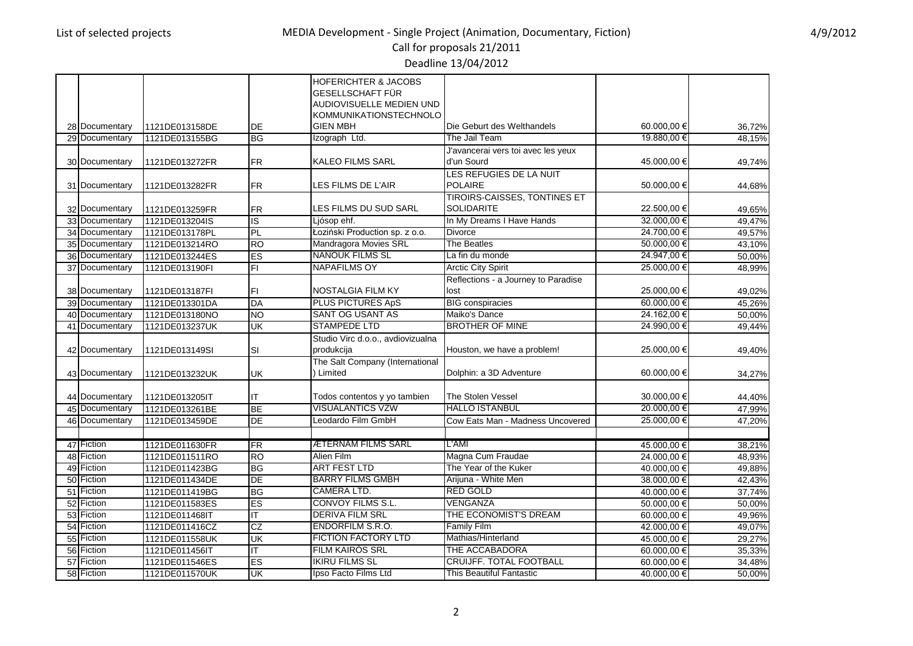# Call for proposals 21/2011

Deadline 13/04/2012

|    |                |                |                      | <b>HOFERICHTER &amp; JACOBS</b><br><b>GESELLSCHAFT FÜR</b> |                                         |                            |        |
|----|----------------|----------------|----------------------|------------------------------------------------------------|-----------------------------------------|----------------------------|--------|
|    |                |                |                      | AUDIOVISUELLE MEDIEN UND                                   |                                         |                            |        |
|    |                |                |                      | KOMMUNIKATIONSTECHNOLO                                     |                                         |                            |        |
|    | 28 Documentary | 1121DE013158DE | DE                   | <b>GIEN MBH</b>                                            | Die Geburt des Welthandels              | 60.000,00 €                | 36,72% |
|    | 29 Documentary | 1121DE013155BG | ВG                   | Izograph Ltd.                                              | The Jail Team                           | 19.880,00 €                | 48,15% |
|    |                |                |                      |                                                            | J'avancerai vers toi avec les yeux      |                            |        |
|    | 30 Documentary | 1121DE013272FR | <b>FR</b>            | <b>KALEO FILMS SARL</b>                                    | d'un Sourd                              | 45.000,00 €                | 49,74% |
|    |                |                |                      |                                                            | LES REFUGIES DE LA NUIT                 |                            |        |
|    | 31 Documentary | 1121DE013282FR | <b>FR</b>            | LES FILMS DE L'AIR                                         | <b>POLAIRE</b>                          | 50.000,00 €                | 44,68% |
|    |                |                |                      |                                                            | <b>TIROIRS-CAISSES, TONTINES ET</b>     |                            |        |
|    | 32 Documentary | 1121DE013259FR | <b>FR</b>            | LES FILMS DU SUD SARL                                      | <b>SOLIDARITE</b>                       | 22.500,00 €                | 49,65% |
|    | 33 Documentary | 1121DE013204IS | ΙS                   | Ljósop ehf.                                                | In My Dreams I Have Hands               | 32.000,00 €                | 49,47% |
|    | 34 Documentary | 1121DE013178PL | PL                   | Łoziński Production sp. z o.o.<br>Mandragora Movies SRL    | <b>Divorce</b>                          | 24.700,00€                 | 49,57% |
|    | 35 Documentary | 1121DE013214RO | <b>RO</b>            | <b>NANOUK FILMS SL</b>                                     | The Beatles                             | 50.000,00€<br>24.947,00€   | 43,10% |
|    | 36 Documentary | 1121DE013244ES | ES<br>$\overline{F}$ | <b>NAPAFILMS OY</b>                                        | La fin du monde                         | 25.000,00 €                | 50,00% |
|    | 37 Documentary | 1121DE013190FI |                      |                                                            | <b>Arctic City Spirit</b>               |                            | 48,99% |
|    |                |                |                      |                                                            | Reflections - a Journey to Paradise     |                            |        |
|    | 38 Documentary | 1121DE013187FI | FI<br>DA             | <b>NOSTALGIA FILM KY</b><br><b>PLUS PICTURES ApS</b>       | lost<br><b>BIG</b> conspiracies         | 25.000,00 €<br>60.000,00 € | 49,02% |
|    | 39 Documentary | 1121DE013301DA |                      | <b>SANT OG USANT AS</b>                                    |                                         |                            | 45,26% |
|    | 40 Documentary | 1121DE013180NO | Ю                    | <b>STAMPEDE LTD</b>                                        | Maiko's Dance<br><b>BROTHER OF MINE</b> | 24.162,00€<br>24.990,00€   | 50,00% |
|    | 41 Documentary | 1121DE013237UK | UK                   |                                                            |                                         |                            | 49,44% |
|    | 42 Documentary | 1121DE013149SI | SI                   | Studio Virc d.o.o., avdiovizualna<br>produkcija            | Houston, we have a problem!             | 25.000,00 €                |        |
|    |                |                |                      | The Salt Company (International                            |                                         |                            | 49,40% |
|    | 43 Documentary | 1121DE013232UK | UK                   | Limited                                                    | Dolphin: a 3D Adventure                 | 60.000,00 €                | 34,27% |
|    |                |                |                      |                                                            |                                         |                            |        |
|    | 44 Documentary | 1121DE013205IT | IΤ                   | Todos contentos y yo tambien                               | The Stolen Vessel                       | 30.000,00 €                | 44,40% |
|    | 45 Documentary | 1121DE013261BE | <b>BE</b>            | <b>VISUALANTICS VZW</b>                                    | <b>HALLO ISTANBUL</b>                   | 20.000,00€                 | 47,99% |
|    | 46 Documentary | 1121DE013459DE | DE                   | Leodardo Film GmbH                                         | Cow Eats Man - Madness Uncovered        | 25.000,00 €                | 47,20% |
|    |                |                |                      |                                                            |                                         |                            |        |
|    | 47 Fiction     | 1121DE011630FR | FR                   | <b>ÆTERNAM FILMS SARL</b>                                  | L'AMI                                   | 45.000,00€                 | 38,21% |
|    | 48 Fiction     | 1121DE011511RO | <b>RO</b>            | Alien Film                                                 | Magna Cum Fraudae                       | 24.000,00 €                | 48,93% |
|    | 49 Fiction     | 1121DE011423BG | <b>BG</b>            | <b>ART FEST LTD</b>                                        | The Year of the Kuker                   | 40.000,00 €                | 49,88% |
|    | 50 Fiction     | 1121DE011434DE | DE                   | <b>BARRY FILMS GMBH</b>                                    | Arijuna - White Men                     | 38.000,00 €                | 42,43% |
|    | 51 Fiction     | 1121DE011419BG | <b>BG</b>            | <b>CAMERA LTD.</b>                                         | <b>RED GOLD</b>                         | 40.000,00€                 | 37,74% |
| 52 | Fiction        | 1121DE011583ES | ES                   | <b>CONVOY FILMS S.L.</b>                                   | VENGANZA                                | 50.000,00 €                | 50,00% |
|    | 53 Fiction     | 1121DE011468IT | IΤ                   | <b>DERIVA FILM SRL</b>                                     | THE ECONOMIST'S DREAM                   | 60.000,00 €                | 49,96% |
|    | 54 Fiction     | 1121DE011416CZ | CZ                   | <b>ENDORFILM S.R.O.</b>                                    | <b>Family Film</b>                      | 42.000,00 €                | 49,07% |
|    | 55 Fiction     | 1121DE011558UK | UK                   | <b>FICTION FACTORY LTD</b>                                 | Mathias/Hinterland                      | 45.000,00 €                | 29,27% |
|    | 56 Fiction     | 1121DE011456IT | IΤ                   | <b>FILM KAIROS SRL</b>                                     | THE ACCABADORA                          | 60.000,00 €                | 35,33% |
|    | 57 Fiction     | 1121DE011546ES | ES                   | <b>IKIRU FILMS SL</b>                                      | <b>CRUIJFF. TOTAL FOOTBALL</b>          | 60.000,00 €                | 34,48% |
|    | 58 Fiction     | 1121DE011570UK | UK                   | Ipso Facto Films Ltd                                       | This Beautiful Fantastic                | 40.000,00 €                | 50,00% |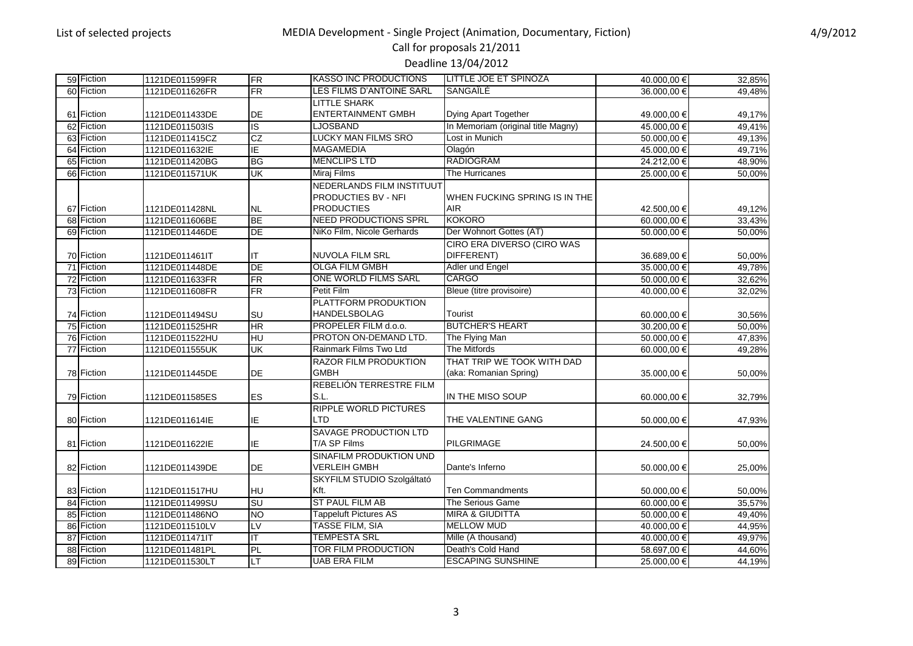#### Call for proposals 21/2011 Deadline 13/04/2012

| 59 Fiction | 1121DE011599FR | <b>FR</b>       | <b>KASSO INC PRODUCTIONS</b>    | LITTLE JOE ET SPINOZA              | 40.000,00 € | 32,85% |
|------------|----------------|-----------------|---------------------------------|------------------------------------|-------------|--------|
| 60 Fiction | 1121DE011626FR | FR              | <b>LES FILMS D'ANTOINE SARL</b> | SANGAÎLE                           | 36.000,00 € | 49,48% |
|            |                |                 | <b>LITTLE SHARK</b>             |                                    |             |        |
| 61 Fiction | 1121DE011433DE | <b>DE</b>       | <b>ENTERTAINMENT GMBH</b>       | Dying Apart Together               | 49.000,00 € | 49,17% |
| 62 Fiction | 1121DE011503IS | $\overline{S}$  | <b>LJOSBAND</b>                 | In Memoriam (original title Magny) | 45.000,00 € | 49,41% |
| 63 Fiction | 1121DE011415CZ | CZ              | <b>LUCKY MAN FILMS SRO</b>      | Lost in Munich                     | 50.000,00 € | 49,13% |
| 64 Fiction |                | IE              | <b>MAGAMEDIA</b>                | Olagón                             |             |        |
|            | 1121DE011632IE |                 | <b>MENCLIPS LTD</b>             | <b>RADIOGRAM</b>                   | 45.000,00 € | 49,71% |
| 65 Fiction | 1121DE011420BG | BG              |                                 |                                    | 24.212,00 € | 48,90% |
| 66 Fiction | 1121DE011571UK | UK              | Miraj Films                     | The Hurricanes                     | 25.000,00€  | 50,00% |
|            |                |                 | NEDERLANDS FILM INSTITUUT       |                                    |             |        |
|            |                |                 | <b>PRODUCTIES BV - NFI</b>      | WHEN FUCKING SPRING IS IN THE      |             |        |
| 67 Fiction | 1121DE011428NL | <b>NL</b>       | <b>PRODUCTIES</b>               | <b>AIR</b>                         | 42.500,00 € | 49,12% |
| 68 Fiction | 1121DE011606BE | <b>BE</b>       | <b>NEED PRODUCTIONS SPRL</b>    | <b>KOKORO</b>                      | 60.000,00 € | 33.43% |
| 69 Fiction | 1121DE011446DE | <b>DE</b>       | NiKo Film, Nicole Gerhards      | Der Wohnort Gottes (AT)            | 50.000,00€  | 50,00% |
|            |                |                 |                                 | CIRO ERA DIVERSO (CIRO WAS         |             |        |
| 70 Fiction | 1121DE011461IT | ΙT              | <b>NUVOLA FILM SRL</b>          | DIFFERENT)                         | 36.689,00 € | 50,00% |
| 71 Fiction | 1121DE011448DE | <b>DE</b>       | <b>OLGA FILM GMBH</b>           | Adler und Engel                    | 35.000,00 € | 49,78% |
| 72 Fiction | 1121DE011633FR | <b>FR</b>       | ONE WORLD FILMS SARL            | <b>CARGO</b>                       | 50.000,00€  | 32,62% |
| 73 Fiction | 1121DE011608FR | <b>FR</b>       | <b>Petit Film</b>               | Bleue (titre provisoire)           | 40.000,00 € | 32,02% |
|            |                |                 | PLATTFORM PRODUKTION            |                                    |             |        |
| 74 Fiction | 1121DE011494SU | SU              | <b>HANDELSBOLAG</b>             | <b>Tourist</b>                     | 60.000,00 € | 30,56% |
| 75 Fiction | 1121DE011525HR | <b>HR</b>       | PROPELER FILM d.o.o.            | <b>BUTCHER'S HEART</b>             | 30.200,00€  | 50,00% |
| 76 Fiction | 1121DE011522HU | HU              | PROTON ON-DEMAND LTD.           | The Flying Man                     | 50.000,00 € | 47,83% |
| 77 Fiction | 1121DE011555UK | UK              | Rainmark Films Two Ltd          | <b>The Mitfords</b>                | 60.000,00€  | 49,28% |
|            |                |                 | <b>RAZOR FILM PRODUKTION</b>    | THAT TRIP WE TOOK WITH DAD         |             |        |
| 78 Fiction | 1121DE011445DE | DE              | <b>GMBH</b>                     | (aka: Romanian Spring)             | 35.000,00 € | 50,00% |
|            |                |                 | REBELIÓN TERRESTRE FILM         |                                    |             |        |
| 79 Fiction | 1121DE011585ES | ES              | S.L.                            | IN THE MISO SOUP                   | 60.000,00 € | 32,79% |
|            |                |                 | <b>RIPPLE WORLD PICTURES</b>    |                                    |             |        |
| 80 Fiction | 1121DE011614IE | ΙE              | LTD                             | THE VALENTINE GANG                 | 50.000,00€  | 47,93% |
|            |                |                 | <b>SAVAGE PRODUCTION LTD</b>    |                                    |             |        |
| 81 Fiction | 1121DE011622IE | IE              | T/A SP Films                    | PILGRIMAGE                         | 24.500,00 € | 50,00% |
|            |                |                 | SINAFILM PRODUKTION UND         |                                    |             |        |
| 82 Fiction | 1121DE011439DE | DE              | <b>VERLEIH GMBH</b>             | Dante's Inferno                    | 50.000,00€  | 25,00% |
|            |                |                 | SKYFILM STUDIO Szolgáltató      |                                    |             |        |
| 83 Fiction |                |                 | Kft.                            | <b>Ten Commandments</b>            |             |        |
|            | 1121DE011517HU | <b>HU</b><br>SU | <b>ST PAUL FILM AB</b>          |                                    | 50.000,00 € | 50,00% |
| 84 Fiction | 1121DE011499SU |                 |                                 | The Serious Game                   | 60.000,00 € | 35,57% |
| 85 Fiction | 1121DE011486NO | Ю               | <b>Tappeluft Pictures AS</b>    | <b>MIRA &amp; GIUDITTA</b>         | 50.000,00 € | 49,40% |
| 86 Fiction | 1121DE011510LV | LV              | <b>TASSE FILM, SIA</b>          | <b>MELLOW MUD</b>                  | 40.000,00 € | 44,95% |
| 87 Fiction | 1121DE011471IT | IT              | <b>TEMPESTA SRL</b>             | Mille (A thousand)                 | 40.000,00 € | 49,97% |
| 88 Fiction | 1121DE011481PL | PL              | <b>TOR FILM PRODUCTION</b>      | Death's Cold Hand                  | 58.697,00€  | 44,60% |
| 89 Fiction | 1121DE011530LT | LT              | <b>UAB ERA FILM</b>             | <b>ESCAPING SUNSHINE</b>           | 25.000,00 € | 44,19% |